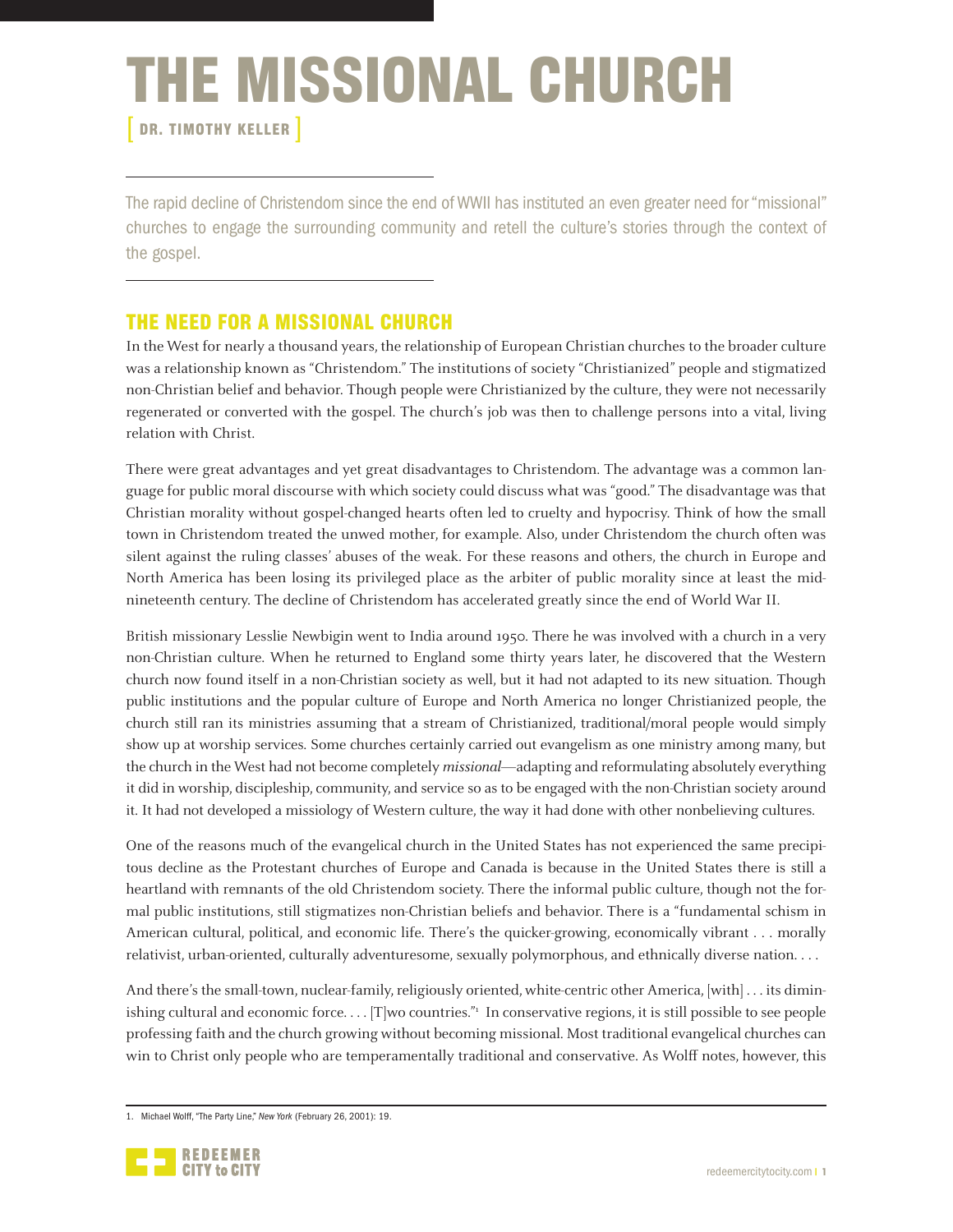# THE MISSIONAL CHURCH

DR. TIMOTHY KELLER

The rapid decline of Christendom since the end of WWII has instituted an even greater need for "missional" churches to engage the surrounding community and retell the culture's stories through the context of the gospel.

# THE NEED FOR A MISSIONAL CHURCH

In the West for nearly a thousand years, the relationship of European Christian churches to the broader culture was a relationship known as "Christendom." The institutions of society "Christianized" people and stigmatized non-Christian belief and behavior. Though people were Christianized by the culture, they were not necessarily regenerated or converted with the gospel. The church's job was then to challenge persons into a vital, living relation with Christ.

There were great advantages and yet great disadvantages to Christendom. The advantage was a common language for public moral discourse with which society could discuss what was "good." The disadvantage was that Christian morality without gospel-changed hearts often led to cruelty and hypocrisy. Think of how the small town in Christendom treated the unwed mother, for example. Also, under Christendom the church often was silent against the ruling classes' abuses of the weak. For these reasons and others, the church in Europe and North America has been losing its privileged place as the arbiter of public morality since at least the midnineteenth century. The decline of Christendom has accelerated greatly since the end of World War II.

British missionary Lesslie Newbigin went to India around 1950. There he was involved with a church in a very non-Christian culture. When he returned to England some thirty years later, he discovered that the Western church now found itself in a non-Christian society as well, but it had not adapted to its new situation. Though public institutions and the popular culture of Europe and North America no longer Christianized people, the church still ran its ministries assuming that a stream of Christianized, traditional/moral people would simply show up at worship services. Some churches certainly carried out evangelism as one ministry among many, but the church in the West had not become completely *missional—adapting and reformulating absolutely everything* it did in worship, discipleship, community, and service so as to be engaged with the non-Christian society around it. It had not developed a missiology of Western culture, the way it had done with other nonbelieving cultures.

One of the reasons much of the evangelical church in the United States has not experienced the same precipitous decline as the Protestant churches of Europe and Canada is because in the United States there is still a heartland with remnants of the old Christendom society. There the informal public culture, though not the formal public institutions, still stigmatizes non-Christian beliefs and behavior. There is a "fundamental schism in American cultural, political, and economic life. There's the quicker-growing, economically vibrant . . . morally relativist, urban-oriented, culturally adventuresome, sexually polymorphous, and ethnically diverse nation. . . .

And there's the small-town, nuclear-family, religiously oriented, white-centric other America, [with] . . . its diminishing cultural and economic force.... [T]wo countries."<sup>1</sup> In conservative regions, it is still possible to see people professing faith and the church growing without becoming missional. Most traditional evangelical churches can win to Christ only people who are temperamentally traditional and conservative. As Wolff notes, however, this

<sup>1.</sup> Michael Wolff, "The Party Line," *New York* (February 26, 2001): 19.

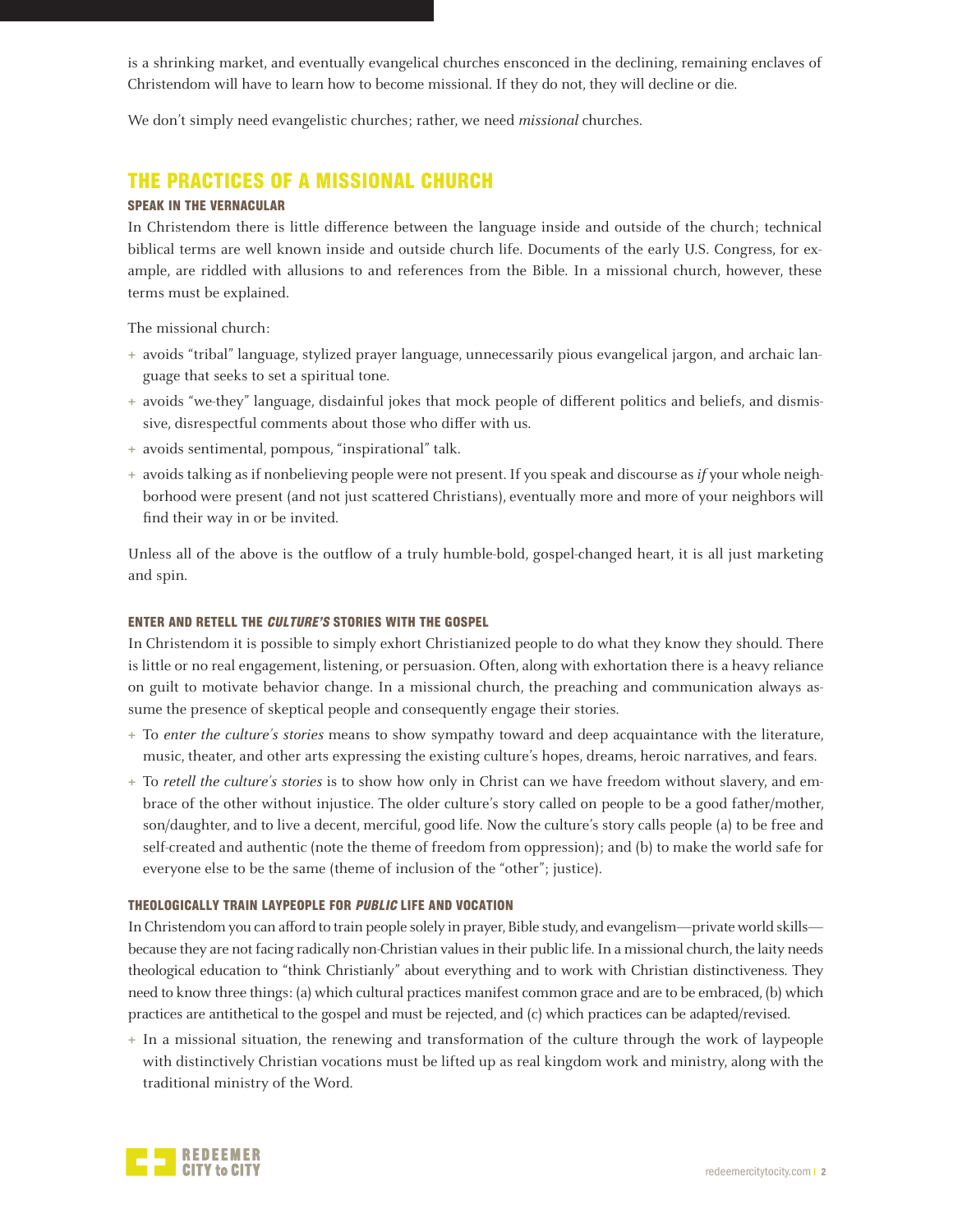is a shrinking market, and eventually evangelical churches ensconced in the declining, remaining enclaves of Christendom will have to learn how to become missional. If they do not, they will decline or die.

We don't simply need evangelistic churches; rather, we need *missional* churches.

## THE PRACTICES OF A MISSIONAL CHURCH

## SPEAK IN THE VERNACULAR

In Christendom there is little difference between the language inside and outside of the church; technical biblical terms are well known inside and outside church life. Documents of the early U.S. Congress, for example, are riddled with allusions to and references from the Bible. In a missional church, however, these terms must be explained.

The missional church:

- **+**  avoids "tribal" language, stylized prayer language, unnecessarily pious evangelical jargon, and archaic language that seeks to set a spiritual tone.
- **+**  avoids "we-they" language, disdainful jokes that mock people of different politics and beliefs, and dismissive, disrespectful comments about those who differ with us.
- **+**  avoids sentimental, pompous, "inspirational" talk.
- **+**  avoids talking as if nonbelieving people were not present. If you speak and discourse as if your whole neighborhood were present (and not just scattered Christians), eventually more and more of your neighbors will find their way in or be invited.

Unless all of the above is the outflow of a truly humble-bold, gospel-changed heart, it is all just marketing and spin.

### ENTER AND RETELL THE CULTURE'S STORIES WITH THE GOSPEL

In Christendom it is possible to simply exhort Christianized people to do what they know they should. There is little or no real engagement, listening, or persuasion. Often, along with exhortation there is a heavy reliance on guilt to motivate behavior change. In a missional church, the preaching and communication always assume the presence of skeptical people and consequently engage their stories.

- **+**  To enter the culture's stories means to show sympathy toward and deep acquaintance with the literature, music, theater, and other arts expressing the existing culture's hopes, dreams, heroic narratives, and fears.
- **+**  To retell the culture's stories is to show how only in Christ can we have freedom without slavery, and embrace of the other without injustice. The older culture's story called on people to be a good father/mother, son/daughter, and to live a decent, merciful, good life. Now the culture's story calls people (a) to be free and self-created and authentic (note the theme of freedom from oppression); and (b) to make the world safe for everyone else to be the same (theme of inclusion of the "other"; justice).

#### THEOLOGICALLY TRAIN LAYPEOPLE FOR PUBLIC LIFE AND VOCATION

In Christendom you can afford to train people solely in prayer, Bible study, and evangelism—private world skills because they are not facing radically non-Christian values in their public life. In a missional church, the laity needs theological education to "think Christianly" about everything and to work with Christian distinctiveness. They need to know three things: (a) which cultural practices manifest common grace and are to be embraced, (b) which practices are antithetical to the gospel and must be rejected, and (c) which practices can be adapted/revised.

**+**  In a missional situation, the renewing and transformation of the culture through the work of laypeople with distinctively Christian vocations must be lifted up as real kingdom work and ministry, along with the traditional ministry of the Word.